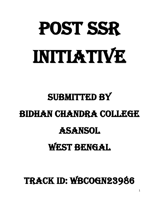# POST SSR INITIATIVE

## SUBMITTED BY BIDHAN CHANDRA COLLEGE ASANSOL

### WEST BENGAL

Track ID: wbcogn23986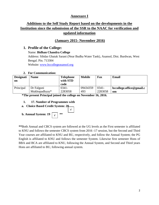#### **Annexure I**

#### **Additions to the Self Study Report based on the developments in the Institution since the submission of the SSR to the NAAC for verification and updated information**

#### **(January 2015- November 2016)**

#### **1. Profile of the College:**

Name: **Bidhan Chandra College** Address: Sibdas Ghatak Sarani (Near Budha Water Tank), Asansol, Dist. Burdwan, West Bengal. Pin. 713304 Website: [www.bccollegeasansol.org](http://www.bccollegeasansol.org/)

#### **2. For Communication:**

| <b>Designati</b><br>on | <b>Name</b><br><b>Telephone</b><br>with STD |          | <b>Mobile</b> | Fax      | Email                    |
|------------------------|---------------------------------------------|----------|---------------|----------|--------------------------|
|                        |                                             | code     |               |          |                          |
| Principal              | Dr Falguni                                  | $0341 -$ | 09434359      | $0341 -$ | bccollege.office@gmail.c |
|                        | Mukhopadhyay*                               | 2283058  | 493           | 2283058  | om                       |

 **\*The present Principal joined the college on November 16, 2016.**

#### **1. 17. Number of Programmes with**



**\*\***Both Annual and CBCS system are followed at the UG levels as the First semester is affiliated to KNU and follows the semester CBCS system from 2016 -17 session, but the Second and Third Year courses are affiliated to KNU and BU, respectively, and follow the Annual System; the PG English is affiliated to KNU and follows the semester System. Likewise first semester Hons of BBA and BCA are affiliated to KNU, following the Annual System, and Second and Third years Hons are affiliated to BU, following annual system.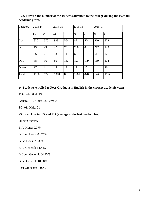**23. Furnish the number of the students admitted to the college during the last four academic years.**

| Category   | 2013-14 |     |      | 2014-15 |      | 2015-16 |      | 2016-17 |  |
|------------|---------|-----|------|---------|------|---------|------|---------|--|
|            | М       | lF  | M    | F       | M    | F       | M    | F       |  |
| Gen        | 820     | 570 | 928  | 564     | 891  | 578     | 860  | 828     |  |
| <b>SC</b>  | 199     | 49  | 228  | 75      | 200  | 88      | 212  | 120     |  |
| <b>ST</b>  | 36      | 6   | 53   | 14      | 55   | 13      | 61   | 22      |  |
| <b>OBC</b> | 58      | 36  | 86   | 137     | 123  | 179     | 119  | 174     |  |
| Others     | 17      | 11  | 15   | 13      | 12   | 20      | 14   | 20      |  |
| Total      | 1130    | 672 | 1310 | 803     | 1281 | 878     | 1266 | 1164    |  |

#### **24. Students enrolled to Post-Graduate in English in the current academic year:**

Total admitted: 19

General: 18, Male: 03, Female: 15

SC: 01, Male: 01

#### **25. Drop Out in UG and PG (average of the last two batches):**

Under Graduate:

B.A. Hons: 0.07%

B.Com. Hons: 0.025%

B.Sc. Hons: 23.33%

B.A. General: 14.64%

B.Com. General: 04.45%

B.Sc. General: 18.00%

Post Graduate: 0.02%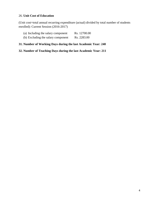#### 26. **Unit Cost of Education**

(Unit cost=total annual recurring expenditure (actual) divided by total number of students enrolled): Current Session (2016-2017)

(a) Including the salary component Rs. 12700.00 (b) Excluding the salary component Rs. 2283.00

#### **31. Number of Working Days during the last Academic Year: 240**

**32. Number of Teaching Days during the last Academic Year: 211**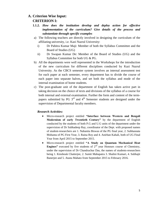#### **A. Criterion Wise Input:**

#### **CRITERION I:**

- **1.1.2.** *How does the institution develop and deploy action for effective implementation of the curriculum? Give details of the process and substantiate through specific examples*
- a) The following teachers are directly involved in designing the curriculum of the affiliating university, i.e. Kazi Nazrul University:
	- i) Dr Pabitra Kumar Maji: Member of both the Syllabus Committee and the Board of Studies (UG)
	- ii) Dr Swapan Kumar De: Member of the Board of Studies (UG) and the Syllabus Committee for both UG & PG.
- b) All the departments were well represented in the Workshops for the introduction of the new curriculum for different disciplines conducted by Kazi Nazrul University. As the CBCS semester system involves an internal assessment test for each paper at each semester, every department has to divide the course of each paper into separate halves, and set both the syllabus and mode of the internal examination of home students.
- c) The post-graduate unit of the department of English has taken active part in taking decision on the choice of texts and divisions of the syllabus of a course for both internal and external examination. Further the form and content of the termpapers submitted by PG  $3<sup>rd</sup>$  and  $4<sup>th</sup>$  Semester students are designed under the supervision of Departmental faculty members.

#### *Research Activities:*

- Micro-research project entitled **"Interface between Western and Bengali Modernism of early Twentieth Century"** by the department of English conducted by the students of both P.G and U.G units of the department under the supervision of Dr Subhadeep Ray, coordinator of the Dept. with proposed names of student-researchers are 1. Nabanita Biswas of the PG final year, 2. Subhasnata Mohanta of PG First Year, 3. Raina Roy and 4. Anirban Kahali, both of UG Final Year from April 2015 to September 2015.
- Micro-research project entitled **"A Study on Quantum Mechanical Heat Engines**" executed by five students of 2<sup>nd</sup> year Honours course of Chemistry, under the supervision of Dr Chandrachur Das, the names of students-researchers being 1. Kinshouk Chatterjee, 2. Sumit Mahapatra 3. Shalini Kumari, 4. Subhajit Banerjee and 5. Atanu Mahato from September 2015 to February 2016.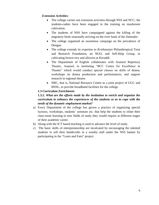#### *Extension Activities:*

- The college carries out extension activities through NSS and NCC; the students-cadets have been engaged in the training on mushroom cultivation.
- The students of NSS have campaigned against the killing of the migratory birds seasonally arriving on the river bank of the *Damodar*.
- The college organised an awareness campaign on the prevalence of Dengue.
- The college extends its expertise to *Krishnarjun* Philanthropical Trust and Research Foundation, an NGO, and Self-Help Group, in cultivating brown-rice and allovera at *Koraddi*.
- The Department of English collaborates with Asansol Repertory Theatre, Asansol, in instituting "BCC Centre for Excellence in Theatre" which would conduct special classes on skills of drama, workshops on drama production and performances, and support research in regional theatre.
- NRC, that is, National Resource Centre as a joint project of UGC and BSNL, to provide broadband facilities for the college.

#### **1.3** *Curriculum Enrichment***:**

#### **1.3.2.** *What are the efforts made by the institution to enrich and organize the curriculum to enhance the experiences of the students so as to cope with the needs of the dynamic employment market?*

- a) Every Department of the college has grown a practice of organizing special lectures, workshops, students' seminars etc. that help the students to relate their class-room learning to new fields of study they would require at different stages of their academic career.
- b) Along with the ICT based teaching is used to advance the level of study.
- c) The basic skills of entrepreneurship are inculcated by encouraging the talented students to sell their handicrafts in a weekly stall under the NSS banner by participating in the "Learn and Earn" project.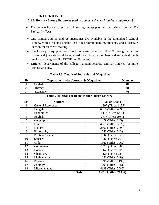#### **CRITERION II:**

#### 2.3.9. *How are Library Resources used to augment the teaching-learning process?*

- The college library subscribes all leading newspapers and the printed journal, *The University News*.
- One printed Journal and 08 magazines are available at the Digitalized Central library, with a reading section that can accommodate 66 students, and a separate section for teachers' reading.
- The Library is equipped with Soul Software under INFLIBNET through which ebooks and journals could be accessed by all faculty members and students through such search engines like JSTOR and Proquest.
- Different departments of the college maintain separate seminar libraries for more extensive study.

| SN       | Department-wise Journals & Magazines | <b>Number</b> |
|----------|--------------------------------------|---------------|
|          | English                              |               |
| <u>.</u> | <b>History</b>                       |               |
| <u>.</u> | Economics                            |               |

#### **Table 2.3: Details of Journals and Magazines**

| <b>SN</b>      | <b>Subject</b>           | <b>No. of Books</b>   |
|----------------|--------------------------|-----------------------|
|                | <b>General Reference</b> | 1397 (Titles: 1157)   |
| $\overline{2}$ | Bengali                  | 6316 (Titles: 4996)   |
| 3              | Economics                | $1453$ (titles: 1251) |
| $\overline{4}$ | English                  | 2797 (titles: 2061)   |
| 5              | Geography                | 429 (Titles: 245)     |
| 6              | Hindi                    | 4561 (Titles: 3929)   |
| 7              | History                  | 2600 (Titles: 2099)   |
| 8              | Philosophy               | 743 (Titles: 543)     |
| 9              | <b>Political Science</b> | 1363 (Titles: 955)    |
| 10             | Sanskrit                 | 1263 (Titles: 763)    |
| 11             | Urdu                     | 1362 (Titles: 1062)   |
| 12             | Commerce                 | 1426 (Titles: 849)    |
| 13             | <b>Botany</b>            | 140 (Titles: 80)      |
| 14             | Chemistry                | 1123 (Titles: 723)    |
| 15             | <b>Mathematics</b>       | 851 (Titles: 548)     |
| 16             | Physics                  | 1596 (Titles: 1196)   |
| 17             | Zoology                  | 295 (Titles: 195)     |
| 18             | Miscellaneous            | 4198 (Titles: 3685)   |
|                | <b>Total</b>             | 33913 (Titles: 26337) |

#### **Table 2.4: Details of Books in the College Library**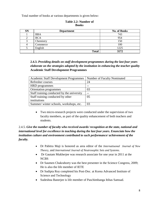Total number of books at various departments is given below:

| <b>SN</b> | <b>Department</b> | <b>No. of Books</b> |  |  |
|-----------|-------------------|---------------------|--|--|
|           | <b>BBA</b>        | 743                 |  |  |
|           | <b>BCA</b>        | 954                 |  |  |
| 3         | Chemistry         | 150                 |  |  |
|           | Commerce          | 100                 |  |  |
|           | English           | 1225                |  |  |
|           | <b>Total</b>      | 3172                |  |  |

#### **Table 2.2: Number of Books**

**2.4.3.** *Providing details on staff development programmes during the last four years elaborate on the strategies adopted by the institution in enhancing the teacher quality* **Academic Staff Development Programmes**

| Academic Staff Development Programmes      | Number of Faculty Nominated |
|--------------------------------------------|-----------------------------|
| Refresher courses                          | 24                          |
| <b>HRD</b> programmes                      |                             |
| Orientation programmes                     | 03                          |
| Staff training conducted by the university |                             |
| Staff training conducted by other          | 05                          |
| institutions                               |                             |
| Summer/winter schools, workshops, etc.     | 03                          |

 Two micro-research projects were conducted under the supervision of two faculty members, as part of the quality enhancement of both teachers and students.

#### 2.4.5. *Give the number of faculty who received awards/ recognition at the state, national and international level for excellence in teaching during the last four years. Enunciate how the institution culture and environment contributed to such performance/ achievement of the faculty.*

- Dr Pabitra Maji is honored as area editor of the *Internatiuonal Journal of New Theory*, and *International Journal of Neutrosophic Sets and Systems*.
- Dr Gautam Mukherjee was research associate for one year in 2011 at the NCBS
- Dr Saumen Chakraborty was the best presenter in the Science Congress, 2009; He is also the life member of IETE
- Dr Sudipta Roy completed his Post-Doc. at Korea Advanced Institute of Science and Technology
- Sudeshna Banerjee is life member of Paschimbanga Itihas Samsad.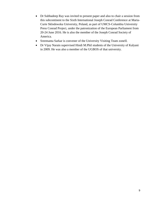- Dr Subhadeep Ray was invited to present paper and also to chair a session from this subcontinent to the Sixth International Joseph Conrad Conference at Maria-Curie Sklodowska University, Poland, as part of UMCS-Columbia University Press Conrad Project, under the patronization of the European Parliament from 20-24 June 2016. He is also the member of the Joseph Conrad Society of America.
- Sreemanta Sarkar is convener of the University Visiting Team zoneII.
- Dr Vijay Narain supervised Hindi M.Phil students of the University of Kalyani in 2009. He was also a member of the UGBOS of that university.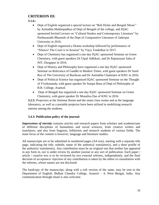#### **CRITERION III:**

#### **3.1.6.:**

- Dept of English organized a special lecture on "Bob Dylan and Bengali Music" by Amitabha Mukhopadhya of Dept of Bengali of the college, and IQAC sponsored Invited Lecture on "Cultural Studies and Contemporary Literature" by Parthasarathi Bhaumik of the Dept of Comparative Literature of Jadavpur University in 2016.
- Dept of English organized a Drama workshop followed by performance of "Silence! The Court is in Session" by Vijoy Tendulkar in 2015.
- Dept of Chemistry has organized a one day IOAC sponsored Seminar on Green Chemistry, with guest speakers Dr Utpal Adhikari, and Dr Rajnarayan Saha of NIT, Durgapur in 2016.
- Dept of History and Philosophy have organized a one day IQAC sponsored Seminar on Relevance of Gandhi in Modern Times, with guest speakers Dr Sunil Roy of The University of Burdwan and Dr Amitabha Chatterjee of KNU in 2016.
- Dept of Political Science has organized IQAC sponsored Seminar on the Thought of Vivekananda, with guest speaker Dr Sutapa Basu of Dept of Philosophy of B.B. College, Asansol.
- Dept of Bengali has organized a one day IQAC sponsored Seminar on Green Chemistry, with guest speaker Dr Monalisa Das of KNU in 2016.

**3.2.5:** Projectors at the Seminar Room and the smart class rooms and at the language laboratory, as well as a portable projector have been utilized in mobilizing research interest among the students.

#### **3.4.3: Publication policy of the journal:**

*Impressions of eternity* contains articles and research papers from scholars and academicians of different disciplines of humanities and social sciences, from creative writers and translators, and also from linguists, folklorists and research students of various fields. The main focus of the content is however, language and literature studies.

All manuscripts are to be submitted in numbered pages (A4 size), starting with a separate title page, indicating the title, subtitle, name of the author(s)/ translator(s), and a short profile of the author(s)/ translator(s). Any contribution must be an original one that neither has appeared in any form in, nor is under review by another journal or any sort of publication. Each paper / article / creative text is to be reviewed by two external referees, independently, and the final decision of acceptance/ rejection of any contribution is taken by the editor in consultation with the referees, whose names are not disclosed.

The hardcopy of the manuscript, along with a soft version of the same, may be sent to the Department of English, Bidhan Chandra College, Asansol – 4, West Bengal, India. Any communication through email is also welcome.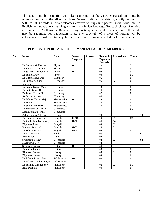The paper must be insightful, with clear exposition of the views expressed, and must be written according to the MLA Handbook, Seventh Edition, maintaining strictly the limit of 5000 to 6000 words. *ie* also welcomes creative writings like poems, short stories etc. in English, and translations into English from any Indian language. But such pieces of writing are limited to 2500 words. Review of any contemporary or old book within 1000 words may be submitted for publication in *ie*. The copyright of a piece of writing will be automatically transferred to the publisher when that writing is accepted for the publication.

| SN | <b>Name</b>                    | <b>Dept</b> | Books/<br><b>Chapters</b> | <b>Abstracts</b> | <b>Research</b><br>Papers in<br><b>Journals</b> | <b>Proceedings</b> | <b>Thesis</b>   |    |
|----|--------------------------------|-------------|---------------------------|------------------|-------------------------------------------------|--------------------|-----------------|----|
|    | Dr Gautam Mukherjee            | Physics     | 01                        |                  | 17                                              |                    | 01              |    |
|    | Dr Tushar Baran Dey            | Physics     |                           |                  | 03                                              |                    | 01              |    |
|    | Dr Saumen Chakraborty          | Physics     | 01                        |                  | 05                                              |                    | 01              |    |
|    | Dr Sudipta Roy                 | Physics     |                           |                  | 09                                              |                    | 01              |    |
|    | Dr Chandrachur Das             | Chemistry   |                           |                  | 05                                              | 01                 | 01              |    |
|    | Dr Sutapa Adhikari<br>Mazumder | Chemistry   |                           |                  | 06                                              | 02                 | 01              |    |
|    | Dr Pradip Kumar Maji           | Chemistry   |                           |                  | 13                                              |                    | 01              |    |
|    | Dr Sujit Kumar Bera            | Chemistry   |                           |                  | 11                                              |                    | 01              |    |
|    | Dr Tapan Kumar Si              | Chemistry   |                           |                  | 07                                              |                    | 01              |    |
|    | Sk Samim Akhtar                | Chemistry   |                           |                  | 01                                              |                    |                 |    |
|    | Dr Pabitra Kumar Maji          | Mathematics | 01                        |                  | 15                                              |                    | 01              |    |
|    | Dr Sujoy Das                   | Mathematics |                           |                  | 11                                              |                    | 01              |    |
|    | Dr Sudip Kumar Pal             | Mathematics |                           |                  | 11                                              |                    | 01              |    |
|    | Dr Monoranjan Ghosh            | Commerce    |                           |                  |                                                 |                    | 01              |    |
|    | Dipak Kumar Mondal             | Commerce    |                           |                  |                                                 |                    |                 |    |
|    | Ashim Kumar Adhyay             | Commerce    |                           |                  | 08                                              |                    |                 | 10 |
|    | Dr Swapan Kumar Dey            | Bengali     | 02/04                     |                  | 05                                              | 03                 | 02              |    |
|    | Amitabha Mukhopadhyay          | Bengali     | 01/02                     |                  | 01                                              | 04                 |                 |    |
|    | Dipankar Arosh                 | Bengali     |                           |                  | 06                                              | 02                 |                 |    |
|    | Baranali Pramanik              | Bengali     | 01/05                     |                  | 20                                              | 01                 |                 |    |
|    | Dr Subhadeep Ray               | English     | 02/03                     | 01               | 08                                              |                    | 01              |    |
|    | Dr Vijoy Narain                | Hindi       |                           |                  | 06                                              |                    |                 | 01 |
|    | Rinku Shah                     | Hindi       |                           |                  | 02                                              |                    |                 |    |
|    | Sreemanta Sarkar               | Economics   |                           |                  | 04                                              | 02                 |                 | 02 |
|    | <b>Madhusree Dey</b>           | Economics   |                           |                  | 04                                              |                    |                 |    |
|    | Sudeshna Banerjee              | History     | 01                        |                  | 0 <sub>5</sub>                                  |                    |                 |    |
|    | Animesh Raptan                 | History     |                           |                  | 03                                              |                    | 01              |    |
|    | Rituparna Sarkar               | History     |                           |                  | 0 <sub>3</sub>                                  | 01                 | $\overline{01}$ |    |
|    | Dipankar Naskar                | History     |                           |                  | 04                                              |                    | 01              |    |
|    | Dr Sabera Sharma Basu          | Pol.Science | 01/02                     |                  | 03                                              | 01                 | 01              |    |
|    | Dr Falguni Mukhopadhyay        | Pol.Science |                           |                  |                                                 |                    |                 |    |
|    | Dr Susmita Chakraborty         | Philosophy  |                           |                  | 01                                              | 03                 | 01              |    |
|    | <b>Bula Debnath</b>            | Philosophy  |                           |                  | 01                                              |                    | 01              |    |

#### **PUBLICATION DETAILS OF PERMANENT FACULTY MEMBERS:**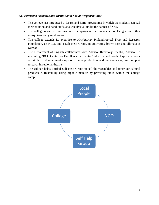#### **3.6.** *Extension Activities and Institutional Social Responsibilities*

- The college has introduced a 'Learn and Earn' programme in which the students can sell their painting and handicrafts at a weekly stall under the banner of NSS.
- The college organised an awareness campaign on the prevalence of Dengue and other mosquitoes carrying diseases.
- The college extends its expertise to *Krishnarjun* Philanthropical Trust and Research Foundation, an NGO, and a Self-Help Group, in cultivating brown-rice and allovera at *Koraddi*.
- The Department of English collaborates with Asansol Repertory Theatre, Asansol, in instituting "BCC Centre for Excellence in Theatre" which would conduct special classes on skills of drama, workshops on drama production and performances, and support research in regional theatre.
- The college helps a tribal Self-Help Group to sell the vegetables and other agricultural products cultivated by using organic manure by providing stalls within the college campus.

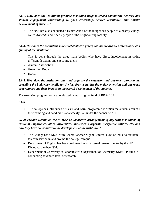#### **3.6.1.** *How does the institution promote institution-neighbourhood-community network and student engagement contributing to good citizenship, service orientation and holistic development of students?*

 The NSS has also conducted a Health Audit of the indigenous people of a nearby village, called *Koraddi,* and elderly people of the neighbouring locality.

#### **3.6.3.** *How does the institution solicit stakeholder's perception on the overall performance and quality of the institution?*

This is done through the three main bodies who have direct involvement in taking different decisions and executing them:

- Alumni Association
- Governing Body
- IQAC

#### **3.6.4.** *How does the institution plan and organize the extension and out-reach programme, providing the budgetary details for the last four years, list the major extension and out-reach programmes and their impact on the overall development of the students.*

The extension programmes are conducted by utilizing the fund of BBA-BCA.

**3.6.6.** 

• The college has introduced a 'Learn and Earn' programme in which the students can sell their painting and handicrafts at a weekly stall under the banner of NSS.

#### *3.7.2: Provide Details on the MOUS/ Collaborative arrangements if any with institutions of National Importance/ other universities/ industries/ Corporate (Corporate entities) etc. and how they have contributed to the development of the institution?*

- The College has a MOU with Bharat Sanchar Nigam Limited, Govt of India, to facilitate telecom service in and around the college campus.
- Department of English has been designated as an external research centre by the IIT, Dhanbad, the then ISM.
- Department of Chemistry collaborates with Department of Chemistry, SKBU, Purulia in conducting advanced level of research.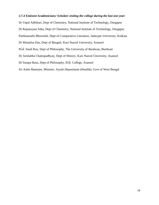#### *3.7.4 Eminent Academicians/ Scholars visiting the college during the last one year:*

Dr Utpal Adhikari, Dept of Chemistry, National Institute of Technology, Durgapur Dr Rajnarayan Saha, Dept of Chemistry, National Institute of Technology, Durgapur Parthasarathi Bhowmik, Dept of Comparative Literature, Jadavpur University, Kolkata Dr Monalisa Das, Dept of Bengali, Kazi Nazrul University, Asansol Prof. Sunil Roy, Dept of Philosophy, The University of Burdwan, Burdwan Dr Amitabha Chattopadhyay, Dept of History, Kazi Nazrul University, Asansol Dr Sutapa Basu, Dept of Philosophy, B.B. College, Asansol Sri Ashis Banerjee, Minister, Ayush Department (Heatlth), Govt of West Bengal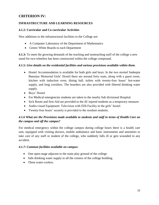#### **CRITERION IV:**

#### **INFRASTRUCTURE AND LEARNING RESOURCES**

#### **4.1.2: Curricular and Co curricular Activities**

New additions to the infrastructural facilities to the College are:

- A Computer Laboratory of the Department of Mathematics
- Green/ White Boards to each Department

**4.1.3:** To meet the growing demands of the teaching and nonteaching staff of the college a new stand for two-wheelers has been constructed within the college compound.

#### **4.1.5:** *Give details on the residential facilities and various provisions available within them*.

- Hostel Accommodation is available for both girls and boys: In the two storied Sudeepta Banerjee Memorial Girls" Hostel there are around forty seats, along with a guest room, kitchen with induction oven, dining hall, toilets with twenty-four hours' hot-water supply, and long corridors. The boarders are also provided with filtered drinking water supply.
- Boys' Hostel
- For Medical emergencies students are taken to the nearby Sub divisional Hospital.
- Sick Room and first-Aid are provided to the ill/ injured students as a temporary measure.
- Audio-visual Equipment: Television with D2h Facility in the girls' hostel.
- Twenty-four hours" security is provided to the resident students.

#### *4.1.6 What are the Provisions made available to students and staff in terms of Health Care on the campus and off the campus?*

For medical emergency within the college campus during college hours there is a health care unit, equipped with visiting doctors, mobile ambulance and basic instruments and amenities to take care of any staff or student of the college, who suddenly falls ill or gets wounded in any accident.

#### *4.1.7: Common facilities available on campus:*

- One open-stage adjacent to the main play ground of the college
- Safe drinking water supply to all the corners of the college building.
- Three water-coolers.